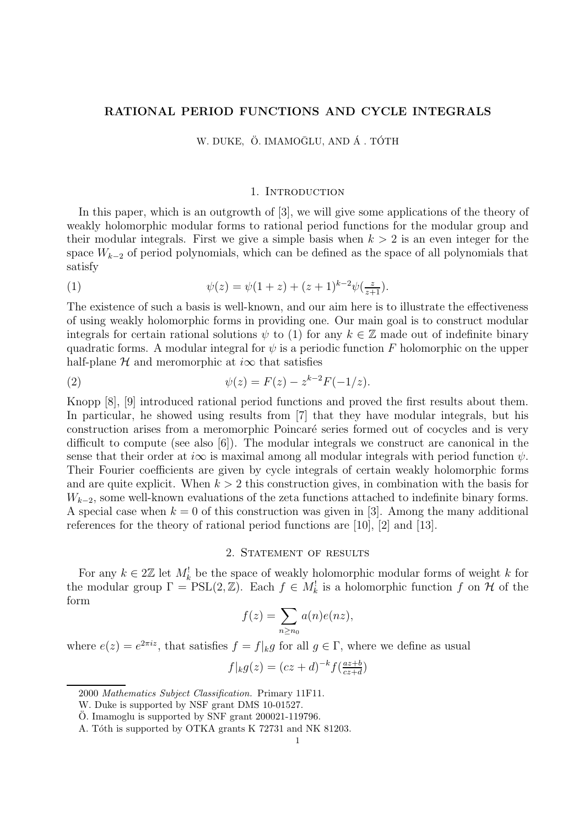# RATIONAL PERIOD FUNCTIONS AND CYCLE INTEGRALS

W. DUKE, Ö. IMAMOĞLU, AND Á. TÓTH

### 1. INTRODUCTION

In this paper, which is an outgrowth of [3], we will give some applications of the theory of weakly holomorphic modular forms to rational period functions for the modular group and their modular integrals. First we give a simple basis when  $k > 2$  is an even integer for the space  $W_{k-2}$  of period polynomials, which can be defined as the space of all polynomials that satisfy

(1) 
$$
\psi(z) = \psi(1+z) + (z+1)^{k-2}\psi(\frac{z}{z+1}).
$$

The existence of such a basis is well-known, and our aim here is to illustrate the effectiveness of using weakly holomorphic forms in providing one. Our main goal is to construct modular integrals for certain rational solutions  $\psi$  to (1) for any  $k \in \mathbb{Z}$  made out of indefinite binary quadratic forms. A modular integral for  $\psi$  is a periodic function F holomorphic on the upper half-plane  $H$  and meromorphic at  $i\infty$  that satisfies

(2) 
$$
\psi(z) = F(z) - z^{k-2} F(-1/z).
$$

Knopp [8], [9] introduced rational period functions and proved the first results about them. In particular, he showed using results from [7] that they have modular integrals, but his construction arises from a meromorphic Poincar´e series formed out of cocycles and is very difficult to compute (see also [6]). The modular integrals we construct are canonical in the sense that their order at  $i\infty$  is maximal among all modular integrals with period function  $\psi$ . Their Fourier coefficients are given by cycle integrals of certain weakly holomorphic forms and are quite explicit. When  $k > 2$  this construction gives, in combination with the basis for  $W_{k-2}$ , some well-known evaluations of the zeta functions attached to indefinite binary forms. A special case when  $k = 0$  of this construction was given in [3]. Among the many additional references for the theory of rational period functions are [10], [2] and [13].

# 2. STATEMENT OF RESULTS

For any  $k \in 2\mathbb{Z}$  let  $M_k^!$  be the space of weakly holomorphic modular forms of weight k for the modular group  $\Gamma = \text{PSL}(2, \mathbb{Z})$ . Each  $f \in M_k^!$  is a holomorphic function f on  $\mathcal H$  of the form

$$
f(z) = \sum_{n \ge n_0} a(n)e(nz),
$$

where  $e(z) = e^{2\pi i z}$ , that satisfies  $f = f|_k g$  for all  $g \in \Gamma$ , where we define as usual

$$
f|_k g(z) = (cz+d)^{-k} f(\frac{az+b}{cz+d})
$$

<sup>2000</sup> Mathematics Subject Classification. Primary 11F11.

W. Duke is supported by NSF grant DMS 10-01527.

 $\ddot{\text{O}}$ . Imamoglu is supported by SNF grant 200021-119796.

A. Tóth is supported by OTKA grants K 72731 and NK 81203.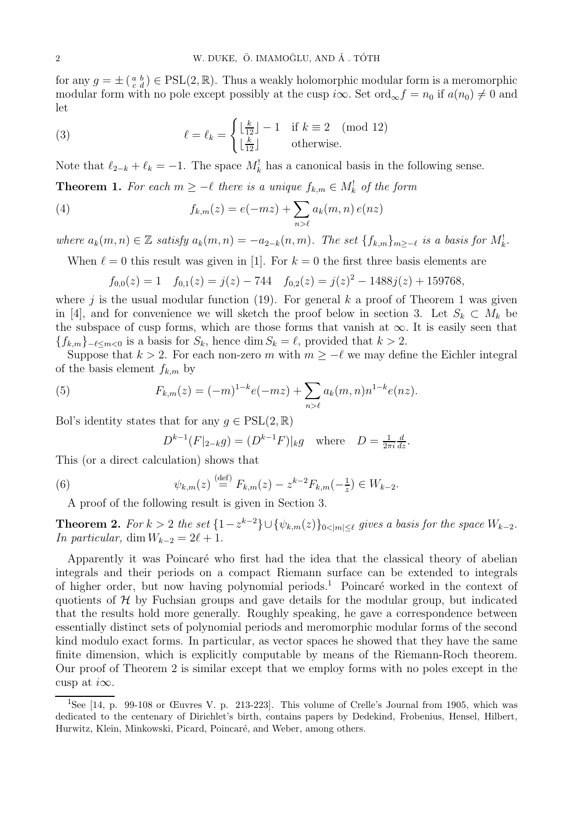for any  $g = \pm \left( \begin{smallmatrix} a & b \\ c & d \end{smallmatrix} \right) \in \text{PSL}(2, \mathbb{R})$ . Thus a weakly holomorphic modular form is a meromorphic modular form with no pole except possibly at the cusp  $i\infty$ . Set ord<sub>∞</sub> $f = n_0$  if  $a(n_0) \neq 0$  and let

(3) 
$$
\ell = \ell_k = \begin{cases} \lfloor \frac{k}{12} \rfloor - 1 & \text{if } k \equiv 2 \pmod{12} \\ \lfloor \frac{k}{12} \rfloor & \text{otherwise.} \end{cases}
$$

Note that  $\ell_{2-k} + \ell_k = -1$ . The space  $M_k^!$  has a canonical basis in the following sense.

**Theorem 1.** For each  $m \ge -\ell$  there is a unique  $f_{k,m} \in M_k^!$  of the form

(4) 
$$
f_{k,m}(z) = e(-mz) + \sum_{n>\ell} a_k(m,n) e(nz)
$$

where  $a_k(m, n) \in \mathbb{Z}$  satisfy  $a_k(m, n) = -a_{2-k}(n, m)$ . The set  $\{f_{k,m}\}_{m \geq -\ell}$  is a basis for  $M_k^!$ .

When  $\ell = 0$  this result was given in [1]. For  $k = 0$  the first three basis elements are

$$
f_{0,0}(z) = 1 \quad f_{0,1}(z) = j(z) - 744 \quad f_{0,2}(z) = j(z)^2 - 1488j(z) + 159768,
$$

where j is the usual modular function (19). For general k a proof of Theorem 1 was given in [4], and for convenience we will sketch the proof below in section 3. Let  $S_k \subset M_k$  be the subspace of cusp forms, which are those forms that vanish at  $\infty$ . It is easily seen that  ${f_{k,m}}_{-\ell \leq m \leq 0}$  is a basis for  $S_k$ , hence dim  $S_k = \ell$ , provided that  $k > 2$ .

Suppose that  $k > 2$ . For each non-zero m with  $m \ge -\ell$  we may define the Eichler integral of the basis element  $f_{k,m}$  by

(5) 
$$
F_{k,m}(z) = (-m)^{1-k} e(-mz) + \sum_{n > \ell} a_k(m,n) n^{1-k} e(nz).
$$

Bol's identity states that for any  $q \in \text{PSL}(2,\mathbb{R})$ 

$$
D^{k-1}(F|_{2-k}g) = (D^{k-1}F)|_{k}g \text{ where } D = \frac{1}{2\pi i} \frac{d}{dz}.
$$

This (or a direct calculation) shows that

(6) 
$$
\psi_{k,m}(z) \stackrel{\text{(def)}}{=} F_{k,m}(z) - z^{k-2} F_{k,m}(-\tfrac{1}{z}) \in W_{k-2}.
$$

A proof of the following result is given in Section 3.

**Theorem 2.** For  $k > 2$  the set  $\{1 - z^{k-2}\} \cup \{\psi_{k,m}(z)\}_{0 \le |m| \le \ell}$  gives a basis for the space  $W_{k-2}$ . In particular, dim  $W_{k-2} = 2\ell + 1$ .

Apparently it was Poincaré who first had the idea that the classical theory of abelian integrals and their periods on a compact Riemann surface can be extended to integrals of higher order, but now having polynomial periods.<sup>1</sup> Poincaré worked in the context of quotients of  $H$  by Fuchsian groups and gave details for the modular group, but indicated that the results hold more generally. Roughly speaking, he gave a correspondence between essentially distinct sets of polynomial periods and meromorphic modular forms of the second kind modulo exact forms. In particular, as vector spaces he showed that they have the same finite dimension, which is explicitly computable by means of the Riemann-Roch theorem. Our proof of Theorem 2 is similar except that we employ forms with no poles except in the cusp at  $i\infty$ .

<sup>1</sup>See [14, p. 99-108 or Œuvres V. p. 213-223]. This volume of Crelle's Journal from 1905, which was dedicated to the centenary of Dirichlet's birth, contains papers by Dedekind, Frobenius, Hensel, Hilbert, Hurwitz, Klein, Minkowski, Picard, Poincaré, and Weber, among others.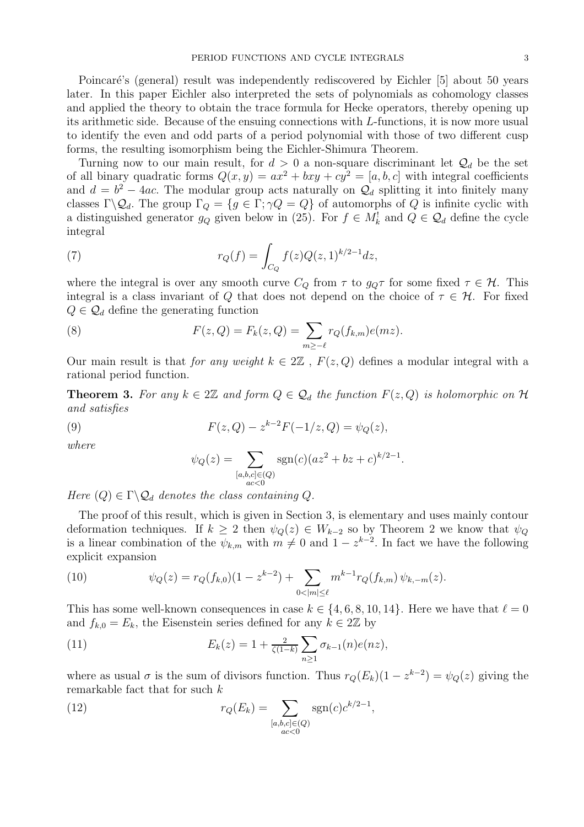Poincaré's (general) result was independently rediscovered by Eichler [5] about 50 years later. In this paper Eichler also interpreted the sets of polynomials as cohomology classes and applied the theory to obtain the trace formula for Hecke operators, thereby opening up its arithmetic side. Because of the ensuing connections with L-functions, it is now more usual to identify the even and odd parts of a period polynomial with those of two different cusp forms, the resulting isomorphism being the Eichler-Shimura Theorem.

Turning now to our main result, for  $d > 0$  a non-square discriminant let  $\mathcal{Q}_d$  be the set of all binary quadratic forms  $Q(x, y) = ax^2 + bxy + cy^2 = [a, b, c]$  with integral coefficients and  $d = b^2 - 4ac$ . The modular group acts naturally on  $\mathcal{Q}_d$  splitting it into finitely many classes  $\Gamma \backslash \mathcal{Q}_d$ . The group  $\Gamma_Q = \{g \in \Gamma; \gamma Q = Q\}$  of automorphs of Q is infinite cyclic with a distinguished generator  $g_Q$  given below in (25). For  $f \in M_k^!$  and  $Q \in \mathcal{Q}_d$  define the cycle integral

(7) 
$$
r_Q(f) = \int_{C_Q} f(z)Q(z,1)^{k/2-1}dz,
$$

where the integral is over any smooth curve  $C_Q$  from  $\tau$  to  $g_Q\tau$  for some fixed  $\tau \in \mathcal{H}$ . This integral is a class invariant of Q that does not depend on the choice of  $\tau \in \mathcal{H}$ . For fixed  $Q \in \mathcal{Q}_d$  define the generating function

(8) 
$$
F(z, Q) = F_k(z, Q) = \sum_{m \ge -\ell} r_Q(f_{k,m}) e(mz).
$$

Our main result is that for any weight  $k \in 2\mathbb{Z}$ ,  $F(z, Q)$  defines a modular integral with a rational period function.

**Theorem 3.** For any  $k \in 2\mathbb{Z}$  and form  $Q \in \mathcal{Q}_d$  the function  $F(z, Q)$  is holomorphic on  $\mathcal{H}$ and satisfies

(9) 
$$
F(z,Q) - z^{k-2}F(-1/z,Q) = \psi_Q(z),
$$

where

$$
\psi_Q(z) = \sum_{\substack{[a,b,c] \in (Q) \\ ac < 0}} \text{sgn}(c)(az^2 + bz + c)^{k/2 - 1}.
$$

Here  $(Q) \in \Gamma \backslash \mathcal{Q}_d$  denotes the class containing Q.

The proof of this result, which is given in Section 3, is elementary and uses mainly contour deformation techniques. If  $k \geq 2$  then  $\psi_Q(z) \in W_{k-2}$  so by Theorem 2 we know that  $\psi_Q$ is a linear combination of the  $\psi_{k,m}$  with  $m \neq 0$  and  $1 - z^{k-2}$ . In fact we have the following explicit expansion

(10) 
$$
\psi_Q(z) = r_Q(f_{k,0})(1 - z^{k-2}) + \sum_{0 < |m| \leq \ell} m^{k-1} r_Q(f_{k,m}) \psi_{k,-m}(z).
$$

This has some well-known consequences in case  $k \in \{4, 6, 8, 10, 14\}$ . Here we have that  $\ell = 0$ and  $f_{k,0} = E_k$ , the Eisenstein series defined for any  $k \in 2\mathbb{Z}$  by

(11) 
$$
E_k(z) = 1 + \frac{2}{\zeta(1-k)} \sum_{n \ge 1} \sigma_{k-1}(n) e(nz),
$$

where as usual  $\sigma$  is the sum of divisors function. Thus  $r_Q(E_k)(1 - z^{k-2}) = \psi_Q(z)$  giving the remarkable fact that for such k

(12) 
$$
r_Q(E_k) = \sum_{\substack{[a,b,c] \in (Q) \\ ac < 0}} \text{sgn}(c) c^{k/2 - 1},
$$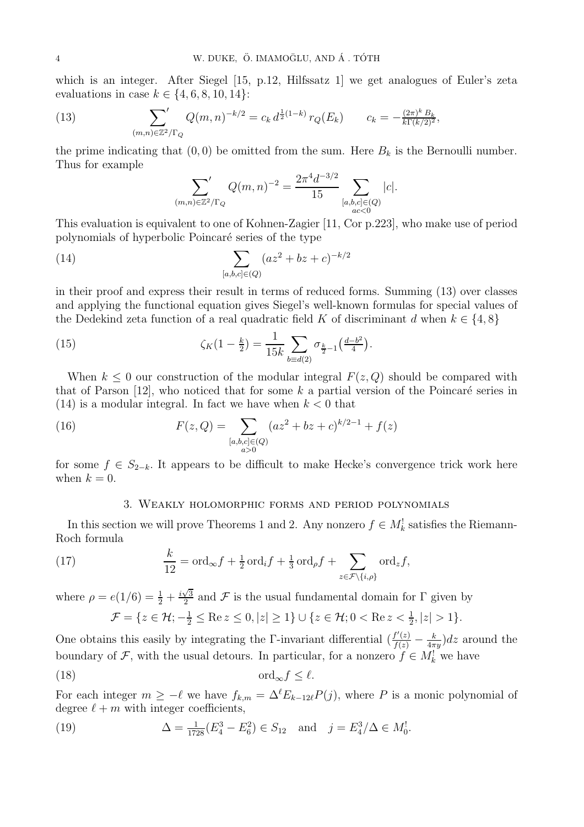which is an integer. After Siegel [15, p.12, Hilfssatz 1] we get analogues of Euler's zeta evaluations in case  $k \in \{4, 6, 8, 10, 14\}$ :

(13) 
$$
\sum_{(m,n)\in\mathbb{Z}^2/\Gamma_Q} Q(m,n)^{-k/2} = c_k d^{\frac{1}{2}(1-k)} r_Q(E_k) \qquad c_k = -\frac{(2\pi)^k B_k}{k \Gamma(k/2)^2},
$$

the prime indicating that  $(0, 0)$  be omitted from the sum. Here  $B_k$  is the Bernoulli number. Thus for example

$$
\sum_{(m,n)\in\mathbb{Z}^2/\Gamma_Q} Q(m,n)^{-2} = \frac{2\pi^4 d^{-3/2}}{15} \sum_{\substack{[a,b,c]\in(Q)\\ac<0}} |c|.
$$

This evaluation is equivalent to one of Kohnen-Zagier [11, Cor p.223], who make use of period polynomials of hyperbolic Poincar´e series of the type

(14) 
$$
\sum_{[a,b,c]\in(Q)} (az^2 + bz + c)^{-k/2}
$$

in their proof and express their result in terms of reduced forms. Summing (13) over classes and applying the functional equation gives Siegel's well-known formulas for special values of the Dedekind zeta function of a real quadratic field K of discriminant d when  $k \in \{4, 8\}$ 

(15) 
$$
\zeta_K(1-\tfrac{k}{2}) = \frac{1}{15k} \sum_{b \equiv d(2)} \sigma_{\frac{k}{2}-1}(\frac{d-b^2}{4}).
$$

When  $k \leq 0$  our construction of the modular integral  $F(z, Q)$  should be compared with that of Parson [12], who noticed that for some  $k$  a partial version of the Poincaré series in  $(14)$  is a modular integral. In fact we have when  $k < 0$  that

(16) 
$$
F(z,Q) = \sum_{\substack{[a,b,c] \in (Q) \\ a>0}} (az^2 + bz + c)^{k/2-1} + f(z)
$$

for some  $f \in S_{2-k}$ . It appears to be difficult to make Hecke's convergence trick work here when  $k = 0$ .

### 3. Weakly holomorphic forms and period polynomials

In this section we will prove Theorems 1 and 2. Any nonzero  $f \in M_k^!$  satisfies the Riemann-Roch formula

(17) 
$$
\frac{k}{12} = \text{ord}_{\infty} f + \frac{1}{2} \text{ord}_{i} f + \frac{1}{3} \text{ord}_{\rho} f + \sum_{z \in \mathcal{F} \setminus \{i,\rho\}} \text{ord}_{z} f,
$$

where  $\rho = e(1/6) = \frac{1}{2} + \frac{i\sqrt{3}}{2}$  $\frac{\sqrt{3}}{2}$  and F is the usual fundamental domain for  $\Gamma$  given by

$$
\mathcal{F} = \{ z \in \mathcal{H}; -\frac{1}{2} \leq \text{Re } z \leq 0, |z| \geq 1 \} \cup \{ z \in \mathcal{H}; 0 < \text{Re } z < \frac{1}{2}, |z| > 1 \}.
$$

One obtains this easily by integrating the Γ-invariant differential  $(\frac{f'(z)}{f(z)} - \frac{k}{4\pi\epsilon})$  $\frac{k}{4\pi y}$ )*dz* around the boundary of  $\mathcal{F}$ , with the usual detours. In particular, for a nonzero  $f \in M_k^!$  we have

$$
\operatorname{ord}_{\infty} f \le \ell.
$$

For each integer  $m \geq -\ell$  we have  $f_{k,m} = \Delta^{\ell} E_{k-12\ell} P(j)$ , where P is a monic polynomial of degree  $\ell + m$  with integer coefficients,

(19) 
$$
\Delta = \frac{1}{1728}(E_4^3 - E_6^2) \in S_{12} \text{ and } j = E_4^3/\Delta \in M_0^!
$$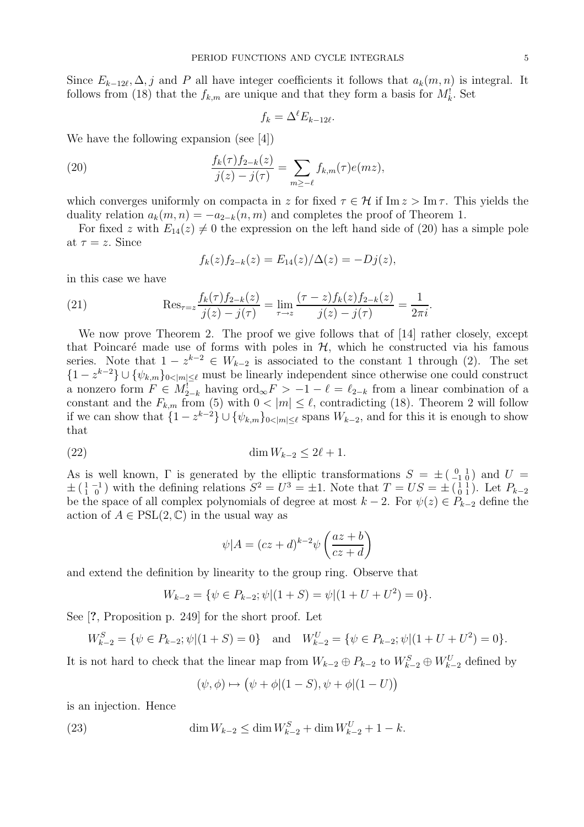Since  $E_{k-12\ell}, \Delta, j$  and P all have integer coefficients it follows that  $a_k(m, n)$  is integral. It follows from (18) that the  $f_{k,m}$  are unique and that they form a basis for  $M_k^!$ . Set

$$
f_k = \Delta^\ell E_{k-12\ell}
$$

.

We have the following expansion (see [4])

(20) 
$$
\frac{f_k(\tau) f_{2-k}(z)}{j(z) - j(\tau)} = \sum_{m \ge -\ell} f_{k,m}(\tau) e(mz),
$$

which converges uniformly on compacta in z for fixed  $\tau \in \mathcal{H}$  if Im  $z > \text{Im } \tau$ . This yields the duality relation  $a_k(m, n) = -a_{2-k}(n, m)$  and completes the proof of Theorem 1.

For fixed z with  $E_{14}(z) \neq 0$  the expression on the left hand side of (20) has a simple pole at  $\tau = z$ . Since

$$
f_k(z)f_{2-k}(z) = E_{14}(z)/\Delta(z) = -Dj(z),
$$

in this case we have

(21) 
$$
\operatorname{Res}_{\tau=z} \frac{f_k(\tau) f_{2-k}(z)}{j(z) - j(\tau)} = \lim_{\tau \to z} \frac{(\tau - z) f_k(z) f_{2-k}(z)}{j(z) - j(\tau)} = \frac{1}{2\pi i}.
$$

We now prove Theorem 2. The proof we give follows that of [14] rather closely, except that Poincaré made use of forms with poles in  $H$ , which he constructed via his famous series. Note that  $1 - z^{k-2} \in W_{k-2}$  is associated to the constant 1 through (2). The set  $\{1-z^{k-2}\}\cup\{\psi_{k,m}\}_{0<|m|\leq\ell}$  must be linearly independent since otherwise one could construct a nonzero form  $F \in M_{2-k}^1$  having  $\text{ord}_{\infty} F > -1 - \ell = \ell_{2-k}$  from a linear combination of a constant and the  $F_{k,m}$  from (5) with  $0 < |m| \leq \ell$ , contradicting (18). Theorem 2 will follow if we can show that  $\{1 - z^{k-2}\} \cup \{\psi_{k,m}\}_{0 \le |m| \le \ell}$  spans  $W_{k-2}$ , and for this it is enough to show that

$$
\dim W_{k-2} \le 2\ell + 1.
$$

As is well known,  $\Gamma$  is generated by the elliptic transformations  $S = \pm \begin{pmatrix} 0 & 1 \\ -1 & 0 \end{pmatrix}$  and  $U =$  $\pm \left(\begin{smallmatrix} 1 & -1 \\ 1 & 0 \end{smallmatrix}\right)$  with the defining relations  $S^2 = U^3 = \pm 1$ . Note that  $T = US = \pm \left(\begin{smallmatrix} 1 & 1 \\ 0 & 1 \end{smallmatrix}\right)$ . Let  $P_{k-2}$ be the space of all complex polynomials of degree at most  $k - 2$ . For  $\psi(z) \in P_{k-2}$  define the action of  $A \in \text{PSL}(2, \mathbb{C})$  in the usual way as

$$
\psi|A = (cz+d)^{k-2}\psi\left(\frac{az+b}{cz+d}\right)
$$

and extend the definition by linearity to the group ring. Observe that

$$
W_{k-2} = \{ \psi \in P_{k-2}; \psi | (1+S) = \psi | (1+U+U^2) = 0 \}.
$$

See [?, Proposition p. 249] for the short proof. Let

$$
W_{k-2}^{S} = \{ \psi \in P_{k-2}; \psi | (1+S) = 0 \} \quad \text{and} \quad W_{k-2}^{U} = \{ \psi \in P_{k-2}; \psi | (1+U+U^{2}) = 0 \}.
$$

It is not hard to check that the linear map from  $W_{k-2} \oplus P_{k-2}$  to  $W_{k-2}^S \oplus W_{k-2}^U$  defined by

$$
(\psi, \phi) \mapsto (\psi + \phi | (1 - S), \psi + \phi | (1 - U))
$$

is an injection. Hence

(23) 
$$
\dim W_{k-2} \le \dim W_{k-2}^S + \dim W_{k-2}^U + 1 - k.
$$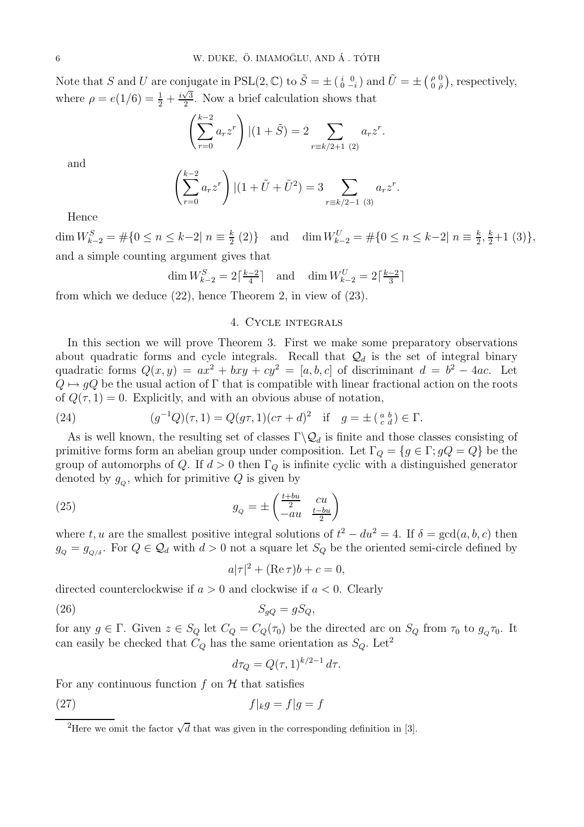Note that S and U are conjugate in  $PSL(2, \mathbb{C})$  to  $\tilde{S} = \pm \begin{pmatrix} i & 0 \\ 0 & -i \end{pmatrix}$  and  $\tilde{U} = \pm \begin{pmatrix} \rho & 0 \\ 0 & \bar{\rho} \end{pmatrix}$  $\binom{\rho}{0}$ ,  $\binom{0}{\overline{\rho}}$ , respectively, where  $\rho = e(1/6) = \frac{1}{2} + \frac{i\sqrt{3}}{2}$  $\frac{\sqrt{3}}{2}$ . Now a brief calculation shows that

$$
\left(\sum_{r=0}^{k-2} a_r z^r\right) | (1+\tilde{S}) = 2 \sum_{r \equiv k/2+1 \ (2)} a_r z^r.
$$

and

$$
\left(\sum_{r=0}^{k-2} a_r z^r\right) | (1+\tilde{U}+\tilde{U}^2) = 3 \sum_{r=k/2-1 \ (3)} a_r z^r.
$$

Hence

dim  $W_{k-2}^S = \#\{0 \le n \le k-2 | n \equiv \frac{k}{2}\}$  $\frac{k}{2}$  (2)} and dim  $W_{k-2}^U = \#\{0 \le n \le k-2 | n \equiv \frac{k}{2}\}$  $\frac{k}{2}, \frac{k}{2}+1$  (3)}, and a simple counting argument gives that

$$
\dim W^S_{k-2} = 2\lceil \frac{k-2}{4} \rceil \quad \text{and} \quad \dim W^U_{k-2} = 2\lceil \frac{k-2}{3} \rceil
$$

from which we deduce (22), hence Theorem 2, in view of (23).

### 4. Cycle integrals

In this section we will prove Theorem 3. First we make some preparatory observations about quadratic forms and cycle integrals. Recall that  $\mathcal{Q}_d$  is the set of integral binary quadratic forms  $Q(x, y) = ax^2 + bxy + cy^2 = [a, b, c]$  of discriminant  $d = b^2 - 4ac$ . Let  $Q \mapsto qQ$  be the usual action of Γ that is compatible with linear fractional action on the roots of  $Q(\tau, 1) = 0$ . Explicitly, and with an obvious abuse of notation,

(24) 
$$
(g^{-1}Q)(\tau, 1) = Q(g\tau, 1)(c\tau + d)^2 \text{ if } g = \pm \left(\begin{smallmatrix} a & b \\ c & d \end{smallmatrix}\right) \in \Gamma.
$$

As is well known, the resulting set of classes  $\Gamma \backslash \mathcal{Q}_d$  is finite and those classes consisting of primitive forms form an abelian group under composition. Let  $\Gamma_Q = \{g \in \Gamma : gQ = Q\}$  be the group of automorphs of Q. If  $d > 0$  then  $\Gamma_Q$  is infinite cyclic with a distinguished generator denoted by  $g_Q$ , which for primitive Q is given by

(25) 
$$
g_Q = \pm \begin{pmatrix} \frac{t+bu}{2} & cu\\ -au & \frac{t-bu}{2} \end{pmatrix}
$$

where t, u are the smallest positive integral solutions of  $t^2 - du^2 = 4$ . If  $\delta = \gcd(a, b, c)$  then  $g_Q = g_{Q/\delta}$ . For  $Q \in \mathcal{Q}_d$  with  $d > 0$  not a square let  $S_Q$  be the oriented semi-circle defined by

$$
a|\tau|^2 + (\operatorname{Re}\tau)b + c = 0,
$$

directed counterclockwise if  $a > 0$  and clockwise if  $a < 0$ . Clearly

$$
(26) \t\t S_{gQ} = gS_Q,
$$

for any  $g \in \Gamma$ . Given  $z \in S_Q$  let  $C_Q = C_Q(\tau_0)$  be the directed arc on  $S_Q$  from  $\tau_0$  to  $g_Q \tau_0$ . It can easily be checked that  $C_Q$  has the same orientation as  $S_Q$ . Let<sup>2</sup>

$$
d\tau_Q = Q(\tau, 1)^{k/2 - 1} d\tau.
$$

For any continuous function  $f$  on  $H$  that satisfies

$$
(27) \t\t f|_k g = f|g = f
$$

<sup>&</sup>lt;sup>2</sup>Here we omit the factor  $\sqrt{d}$  that was given in the corresponding definition in [3].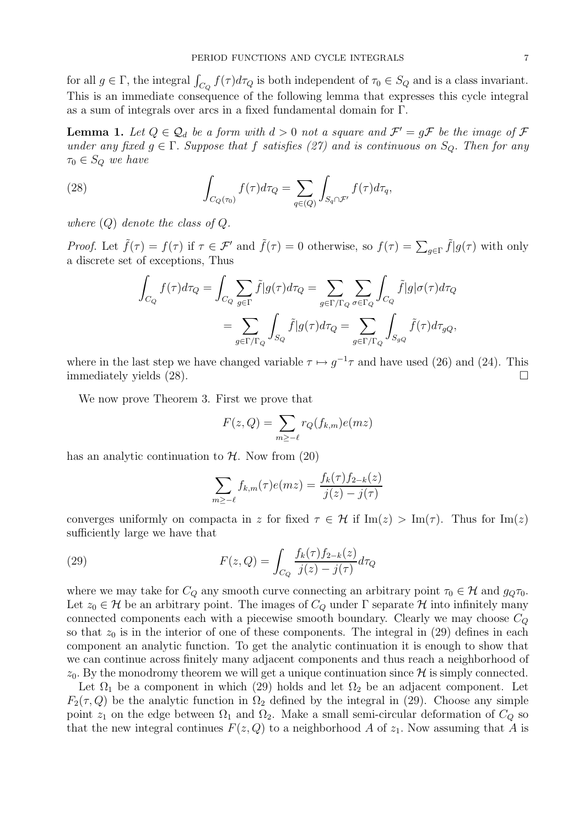for all  $g \in \Gamma$ , the integral  $\int_{C_Q} f(\tau) d\tau_Q$  is both independent of  $\tau_0 \in S_Q$  and is a class invariant. This is an immediate consequence of the following lemma that expresses this cycle integral as a sum of integrals over arcs in a fixed fundamental domain for Γ.

**Lemma 1.** Let  $Q \in \mathcal{Q}_d$  be a form with  $d > 0$  not a square and  $\mathcal{F}' = g\mathcal{F}$  be the image of  $\mathcal{F}$ under any fixed  $g \in \Gamma$ . Suppose that f satisfies (27) and is continuous on  $S_Q$ . Then for any  $\tau_0 \in S_Q$  we have

(28) 
$$
\int_{C_Q(\tau_0)} f(\tau) d\tau_Q = \sum_{q \in (Q)} \int_{S_q \cap \mathcal{F}'} f(\tau) d\tau_q,
$$

where  $(Q)$  denote the class of  $Q$ .

*Proof.* Let  $\tilde{f}(\tau) = f(\tau)$  if  $\tau \in \mathcal{F}'$  and  $\tilde{f}(\tau) = 0$  otherwise, so  $f(\tau) = \sum_{g \in \Gamma} \tilde{f}|g(\tau)$  with only a discrete set of exceptions, Thus

$$
\int_{C_Q} f(\tau) d\tau_Q = \int_{C_Q} \sum_{g \in \Gamma} \tilde{f} |g(\tau) d\tau_Q = \sum_{g \in \Gamma/\Gamma_Q} \sum_{\sigma \in \Gamma_Q} \int_{C_Q} \tilde{f} |g|\sigma(\tau) d\tau_Q
$$
\n
$$
= \sum_{g \in \Gamma/\Gamma_Q} \int_{S_Q} \tilde{f} |g(\tau) d\tau_Q = \sum_{g \in \Gamma/\Gamma_Q} \int_{S_{gQ}} \tilde{f}(\tau) d\tau_{gQ},
$$

where in the last step we have changed variable  $\tau \mapsto g^{-1}\tau$  and have used (26) and (24). This immediately yields  $(28)$ .

We now prove Theorem 3. First we prove that

$$
F(z,Q) = \sum_{m \ge -\ell} r_Q(f_{k,m})e(mz)
$$

has an analytic continuation to  $H$ . Now from (20)

$$
\sum_{m\geq -\ell} f_{k,m}(\tau)e(mz) = \frac{f_k(\tau)f_{2-k}(z)}{j(z) - j(\tau)}
$$

converges uniformly on compacta in z for fixed  $\tau \in \mathcal{H}$  if Im(z) > Im( $\tau$ ). Thus for Im(z) sufficiently large we have that

(29) 
$$
F(z,Q) = \int_{C_Q} \frac{f_k(\tau) f_{2-k}(z)}{j(z) - j(\tau)} d\tau_Q
$$

where we may take for  $C_Q$  any smooth curve connecting an arbitrary point  $\tau_0 \in \mathcal{H}$  and  $g_Q \tau_0$ . Let  $z_0 \in \mathcal{H}$  be an arbitrary point. The images of  $C_Q$  under  $\Gamma$  separate  $\mathcal{H}$  into infinitely many connected components each with a piecewise smooth boundary. Clearly we may choose  $C<sub>O</sub>$ so that  $z_0$  is in the interior of one of these components. The integral in (29) defines in each component an analytic function. To get the analytic continuation it is enough to show that we can continue across finitely many adjacent components and thus reach a neighborhood of  $z_0$ . By the monodromy theorem we will get a unique continuation since  $\mathcal H$  is simply connected.

Let  $\Omega_1$  be a component in which (29) holds and let  $\Omega_2$  be an adjacent component. Let  $F_2(\tau, Q)$  be the analytic function in  $\Omega_2$  defined by the integral in (29). Choose any simple point  $z_1$  on the edge between  $\Omega_1$  and  $\Omega_2$ . Make a small semi-circular deformation of  $C_Q$  so that the new integral continues  $F(z, Q)$  to a neighborhood A of  $z<sub>1</sub>$ . Now assuming that A is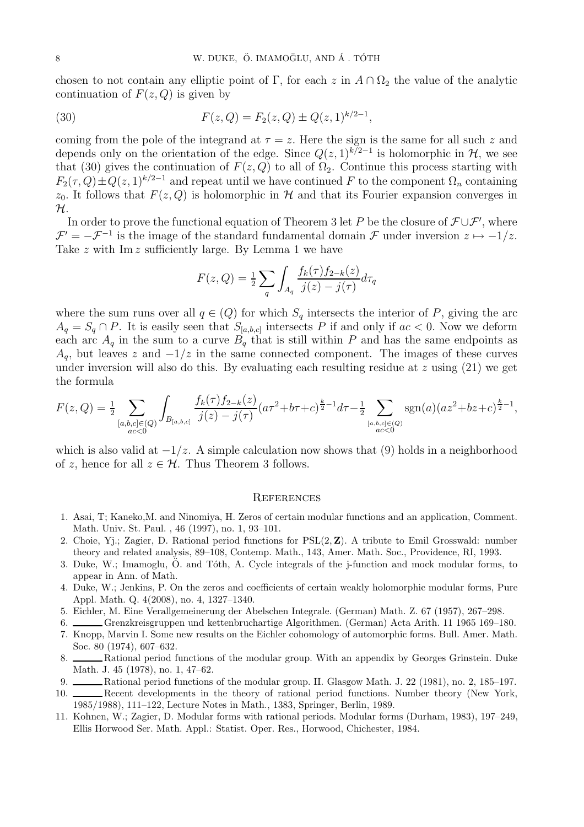chosen to not contain any elliptic point of Γ, for each z in  $A \cap \Omega_2$  the value of the analytic continuation of  $F(z, Q)$  is given by

(30) 
$$
F(z,Q) = F_2(z,Q) \pm Q(z,1)^{k/2-1},
$$

coming from the pole of the integrand at  $\tau = z$ . Here the sign is the same for all such z and depends only on the orientation of the edge. Since  $Q(z, 1)^{k/2-1}$  is holomorphic in  $\mathcal{H}$ , we see that (30) gives the continuation of  $F(z, Q)$  to all of  $\Omega_2$ . Continue this process starting with  $F_2(\tau, Q) \pm Q(z, 1)^{k/2-1}$  and repeat until we have continued F to the component  $\Omega_n$  containing  $z_0$ . It follows that  $F(z, Q)$  is holomorphic in H and that its Fourier expansion converges in  $\mathcal{H}.$ 

In order to prove the functional equation of Theorem 3 let P be the closure of  $\mathcal{F}\cup\mathcal{F}'$ , where  $\mathcal{F}' = -\mathcal{F}^{-1}$  is the image of the standard fundamental domain  $\mathcal{F}$  under inversion  $z \mapsto -1/z$ . Take  $z$  with Im  $z$  sufficiently large. By Lemma 1 we have

$$
F(z,Q) = \frac{1}{2} \sum_{q} \int_{A_q} \frac{f_k(\tau) f_{2-k}(z)}{j(z) - j(\tau)} d\tau_q
$$

where the sum runs over all  $q \in (Q)$  for which  $S_q$  intersects the interior of P, giving the arc  $A_q = S_q \cap P$ . It is easily seen that  $S_{[a,b,c]}$  intersects P if and only if  $ac < 0$ . Now we deform each arc  $A_q$  in the sum to a curve  $B_q$  that is still within P and has the same endpoints as  $A<sub>q</sub>$ , but leaves z and  $-1/z$  in the same connected component. The images of these curves under inversion will also do this. By evaluating each resulting residue at  $z$  using (21) we get the formula

$$
F(z,Q) = \frac{1}{2} \sum_{\substack{[a,b,c] \in (Q) \\ ac < 0}} \int_{B_{[a,b,c]}} \frac{f_k(\tau) f_{2-k}(z)}{j(z) - j(\tau)} (a\tau^2 + b\tau + c)^{\frac{k}{2} - 1} d\tau - \frac{1}{2} \sum_{\substack{[a,b,c] \in (Q) \\ ac < 0}} \text{sgn}(a) (az^2 + bz + c)^{\frac{k}{2} - 1},
$$

which is also valid at  $-1/z$ . A simple calculation now shows that (9) holds in a neighborhood of z, hence for all  $z \in \mathcal{H}$ . Thus Theorem 3 follows.

#### **REFERENCES**

- 1. Asai, T; Kaneko,M. and Ninomiya, H. Zeros of certain modular functions and an application, Comment. Math. Univ. St. Paul. , 46 (1997), no. 1, 93–101.
- 2. Choie, Y<sub>1</sub>.; Zagier, D. Rational period functions for  $PSL(2, Z)$ . A tribute to Emil Grosswald: number theory and related analysis, 89–108, Contemp. Math., 143, Amer. Math. Soc., Providence, RI, 1993.
- 3. Duke, W.; Imamoglu,  $\ddot{O}$ , and Tóth, A. Cycle integrals of the j-function and mock modular forms, to appear in Ann. of Math.
- 4. Duke, W.; Jenkins, P. On the zeros and coefficients of certain weakly holomorphic modular forms, Pure Appl. Math. Q. 4(2008), no. 4, 1327–1340.
- 5. Eichler, M. Eine Verallgemeinerung der Abelschen Integrale. (German) Math. Z. 67 (1957), 267–298.
- 6. Grenzkreisgruppen und kettenbruchartige Algorithmen. (German) Acta Arith. 11 1965 169–180.
- 7. Knopp, Marvin I. Some new results on the Eichler cohomology of automorphic forms. Bull. Amer. Math. Soc. 80 (1974), 607–632.
- 8. Rational period functions of the modular group. With an appendix by Georges Grinstein. Duke Math. J. 45 (1978), no. 1, 47–62.
- 9. Rational period functions of the modular group. II. Glasgow Math. J. 22 (1981), no. 2, 185–197.
- 10. Recent developments in the theory of rational period functions. Number theory (New York, 1985/1988), 111–122, Lecture Notes in Math., 1383, Springer, Berlin, 1989.
- 11. Kohnen, W.; Zagier, D. Modular forms with rational periods. Modular forms (Durham, 1983), 197–249, Ellis Horwood Ser. Math. Appl.: Statist. Oper. Res., Horwood, Chichester, 1984.